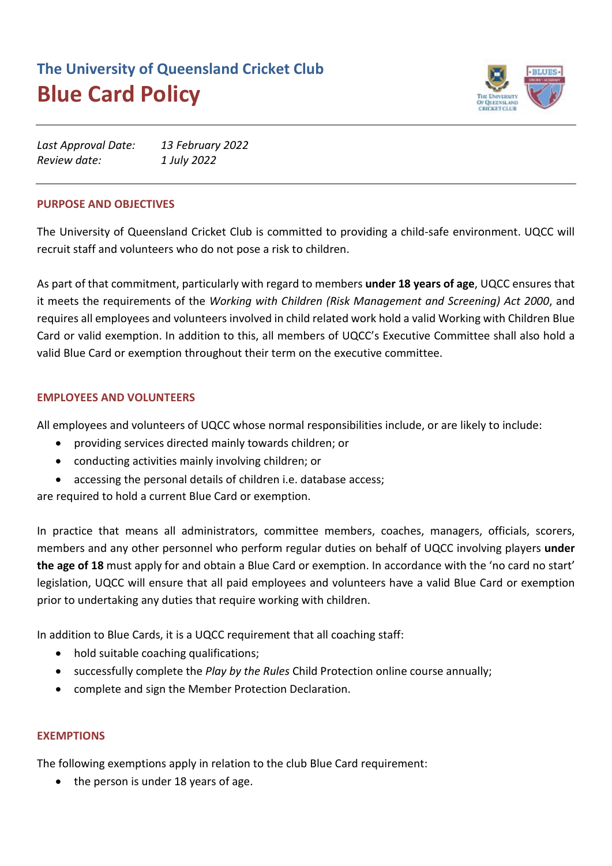# **The University of Queensland Cricket Club Blue Card Policy**



*Last Approval Date: 13 February 2022 Review date: 1 July 2022*

### **PURPOSE AND OBJECTIVES**

The University of Queensland Cricket Club is committed to providing a child-safe environment. UQCC will recruit staff and volunteers who do not pose a risk to children.

As part of that commitment, particularly with regard to members **under 18 years of age**, UQCC ensures that it meets the requirements of the *Working with Children (Risk Management and Screening) Act 2000*, and requires all employees and volunteers involved in child related work hold a valid Working with Children Blue Card or valid exemption. In addition to this, all members of UQCC's Executive Committee shall also hold a valid Blue Card or exemption throughout their term on the executive committee.

## **EMPLOYEES AND VOLUNTEERS**

All employees and volunteers of UQCC whose normal responsibilities include, or are likely to include:

- providing services directed mainly towards children; or
- conducting activities mainly involving children; or
- accessing the personal details of children i.e. database access;

are required to hold a current Blue Card or exemption.

In practice that means all administrators, committee members, coaches, managers, officials, scorers, members and any other personnel who perform regular duties on behalf of UQCC involving players **under the age of 18** must apply for and obtain a Blue Card or exemption. In accordance with the 'no card no start' legislation, UQCC will ensure that all paid employees and volunteers have a valid Blue Card or exemption prior to undertaking any duties that require working with children.

In addition to Blue Cards, it is a UQCC requirement that all coaching staff:

- hold suitable coaching qualifications;
- successfully complete the *Play by the Rules* Child Protection online course annually;
- complete and sign the Member Protection Declaration.

#### **EXEMPTIONS**

The following exemptions apply in relation to the club Blue Card requirement:

• the person is under 18 years of age.